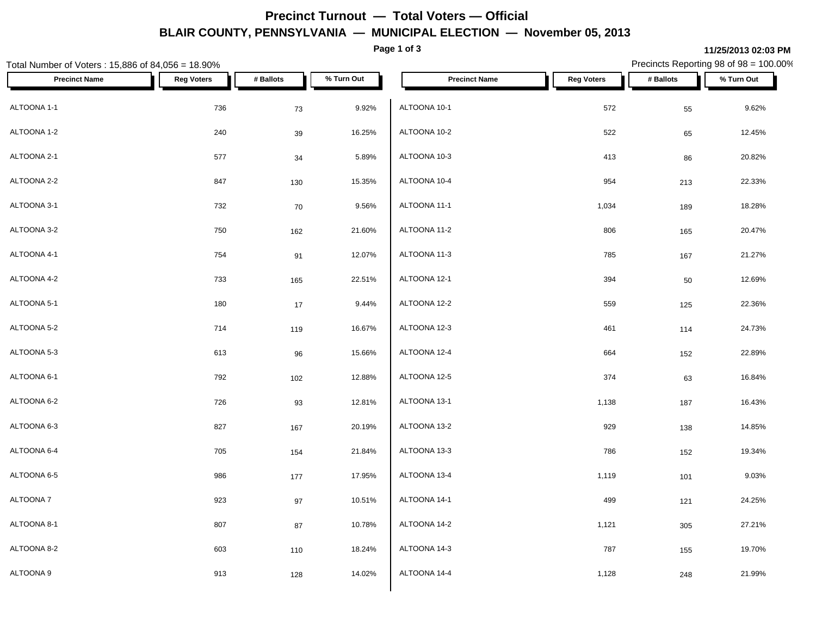# **Precinct Turnout — Total Voters — Official BLAIR COUNTY, PENNSYLVANIA — MUNICIPAL ELECTION — November 05, 2013**

**Page 1 of 3**

### **11/25/2013 02:03 PM**

Precincts Reporting 98 of 98 = 100.00%

| Total Number of Voters: 15,886 of 84,056 = 18.90% |                   |           |            |                      |                   |           | Precincts Reporting 98 of 98 = 100.00% |  |
|---------------------------------------------------|-------------------|-----------|------------|----------------------|-------------------|-----------|----------------------------------------|--|
| <b>Precinct Name</b>                              | <b>Reg Voters</b> | # Ballots | % Turn Out | <b>Precinct Name</b> | <b>Reg Voters</b> | # Ballots | % Turn Out                             |  |
| ALTOONA 1-1                                       | 736               | 73        | 9.92%      | ALTOONA 10-1         | 572               | 55        | 9.62%                                  |  |
| ALTOONA 1-2                                       | 240               | 39        | 16.25%     | ALTOONA 10-2         | 522               | 65        | 12.45%                                 |  |
| ALTOONA 2-1                                       | 577               | 34        | 5.89%      | ALTOONA 10-3         | 413               | 86        | 20.82%                                 |  |
| ALTOONA 2-2                                       | 847               | 130       | 15.35%     | ALTOONA 10-4         | 954               | 213       | 22.33%                                 |  |
| ALTOONA 3-1                                       | 732               | 70        | 9.56%      | ALTOONA 11-1         | 1,034             | 189       | 18.28%                                 |  |
| ALTOONA 3-2                                       | 750               | 162       | 21.60%     | ALTOONA 11-2         | 806               | 165       | 20.47%                                 |  |
| ALTOONA 4-1                                       | 754               | 91        | 12.07%     | ALTOONA 11-3         | 785               | 167       | 21.27%                                 |  |
| ALTOONA 4-2                                       | 733               | 165       | 22.51%     | ALTOONA 12-1         | 394               | $50\,$    | 12.69%                                 |  |
| ALTOONA 5-1                                       | 180               | 17        | 9.44%      | ALTOONA 12-2         | 559               | 125       | 22.36%                                 |  |
| ALTOONA 5-2                                       | 714               | 119       | 16.67%     | ALTOONA 12-3         | 461               | 114       | 24.73%                                 |  |
| ALTOONA 5-3                                       | 613               | 96        | 15.66%     | ALTOONA 12-4         | 664               | 152       | 22.89%                                 |  |
| ALTOONA 6-1                                       | 792               | 102       | 12.88%     | ALTOONA 12-5         | 374               | 63        | 16.84%                                 |  |
| ALTOONA 6-2                                       | 726               | 93        | 12.81%     | ALTOONA 13-1         | 1,138             | 187       | 16.43%                                 |  |
| ALTOONA 6-3                                       | 827               | 167       | 20.19%     | ALTOONA 13-2         | 929               | 138       | 14.85%                                 |  |
| ALTOONA 6-4                                       | 705               | 154       | 21.84%     | ALTOONA 13-3         | 786               | 152       | 19.34%                                 |  |
| ALTOONA 6-5                                       | 986               | 177       | 17.95%     | ALTOONA 13-4         | 1,119             | 101       | 9.03%                                  |  |
| ALTOONA 7                                         | 923               | $97\,$    | 10.51%     | ALTOONA 14-1         | 499               | 121       | 24.25%                                 |  |
| ALTOONA 8-1                                       | 807               | 87        | 10.78%     | ALTOONA 14-2         | 1,121             | 305       | 27.21%                                 |  |
| ALTOONA 8-2                                       | 603               | 110       | 18.24%     | ALTOONA 14-3         | 787               | 155       | 19.70%                                 |  |
| ALTOONA 9                                         | 913               | 128       | 14.02%     | ALTOONA 14-4         | 1,128             | 248       | 21.99%                                 |  |
|                                                   |                   |           |            |                      |                   |           |                                        |  |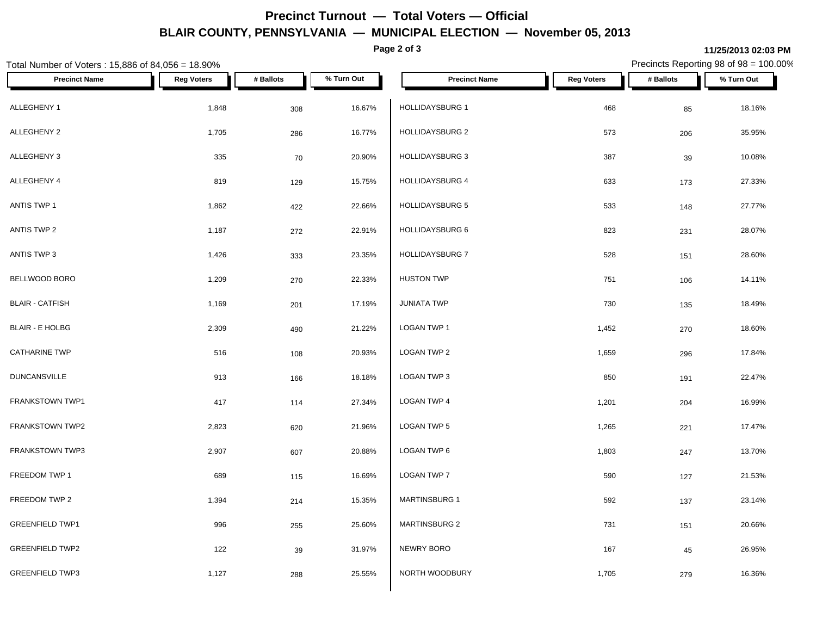# **Precinct Turnout — Total Voters — Official BLAIR COUNTY, PENNSYLVANIA — MUNICIPAL ELECTION — November 05, 2013**

**Page 2 of 3**

### **11/25/2013 02:03 PM**

Precincts Reporting 98 of 98 = 100.00%

| Total Number of Voters: 15,886 of 84,056 = 18.90% |                   |           |            |                        |                   | Precincts Reporting 98 of 98 = 100.00% |            |
|---------------------------------------------------|-------------------|-----------|------------|------------------------|-------------------|----------------------------------------|------------|
| <b>Precinct Name</b>                              | <b>Reg Voters</b> | # Ballots | % Turn Out | <b>Precinct Name</b>   | <b>Reg Voters</b> | # Ballots                              | % Turn Out |
| ALLEGHENY 1                                       | 1,848             | 308       | 16.67%     | <b>HOLLIDAYSBURG 1</b> | 468               | 85                                     | 18.16%     |
| ALLEGHENY 2                                       | 1,705             | 286       | 16.77%     | HOLLIDAYSBURG 2        | 573               | 206                                    | 35.95%     |
| ALLEGHENY 3                                       | 335               | 70        | 20.90%     | <b>HOLLIDAYSBURG 3</b> | 387               | 39                                     | 10.08%     |
| ALLEGHENY 4                                       | 819               | 129       | 15.75%     | <b>HOLLIDAYSBURG 4</b> | 633               | 173                                    | 27.33%     |
| ANTIS TWP 1                                       | 1,862             | 422       | 22.66%     | <b>HOLLIDAYSBURG 5</b> | 533               | 148                                    | 27.77%     |
| ANTIS TWP 2                                       | 1,187             | 272       | 22.91%     | HOLLIDAYSBURG 6        | 823               | 231                                    | 28.07%     |
| ANTIS TWP 3                                       | 1,426             | 333       | 23.35%     | HOLLIDAYSBURG 7        | 528               | 151                                    | 28.60%     |
| BELLWOOD BORO                                     | 1,209             | 270       | 22.33%     | <b>HUSTON TWP</b>      | 751               | 106                                    | 14.11%     |
| <b>BLAIR - CATFISH</b>                            | 1,169             | 201       | 17.19%     | <b>JUNIATA TWP</b>     | 730               | 135                                    | 18.49%     |
| <b>BLAIR - E HOLBG</b>                            | 2,309             | 490       | 21.22%     | LOGAN TWP 1            | 1,452             | 270                                    | 18.60%     |
| <b>CATHARINE TWP</b>                              | 516               | 108       | 20.93%     | LOGAN TWP 2            | 1,659             | 296                                    | 17.84%     |
| <b>DUNCANSVILLE</b>                               | 913               | 166       | 18.18%     | LOGAN TWP 3            | 850               | 191                                    | 22.47%     |
| FRANKSTOWN TWP1                                   | 417               | 114       | 27.34%     | <b>LOGAN TWP 4</b>     | 1,201             | 204                                    | 16.99%     |
| FRANKSTOWN TWP2                                   | 2,823             | 620       | 21.96%     | LOGAN TWP 5            | 1,265             | 221                                    | 17.47%     |
| <b>FRANKSTOWN TWP3</b>                            | 2,907             | 607       | 20.88%     | LOGAN TWP 6            | 1,803             | 247                                    | 13.70%     |
| FREEDOM TWP 1                                     | 689               | 115       | 16.69%     | LOGAN TWP 7            | 590               | 127                                    | 21.53%     |
| FREEDOM TWP 2                                     | 1,394             | 214       | 15.35%     | <b>MARTINSBURG 1</b>   | 592               | 137                                    | 23.14%     |
| <b>GREENFIELD TWP1</b>                            | 996               | 255       | 25.60%     | <b>MARTINSBURG 2</b>   | 731               | 151                                    | 20.66%     |
| <b>GREENFIELD TWP2</b>                            | 122               | 39        | 31.97%     | NEWRY BORO             | 167               | 45                                     | 26.95%     |
| <b>GREENFIELD TWP3</b>                            | 1,127             | 288       | 25.55%     | NORTH WOODBURY         | 1,705             | 279                                    | 16.36%     |
|                                                   |                   |           |            |                        |                   |                                        |            |